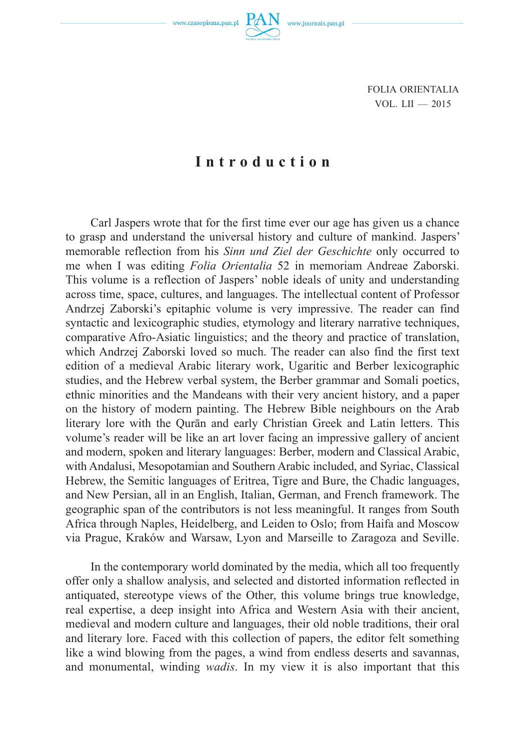www.czasopisma.pan.pl  $PA$ 



FOLIA ORIENTALIA VOL. LII — 2015

## **Introduction**

Carl Jaspers wrote that for the first time ever our age has given us a chance to grasp and understand the universal history and culture of mankind. Jaspers' memorable reflection from his *Sinn und Ziel der Geschichte* only occurred to me when I was editing *Folia Orientalia* 52 in memoriam Andreae Zaborski. This volume is a reflection of Jaspers' noble ideals of unity and understanding across time, space, cultures, and languages. The intellectual content of Professor Andrzej Zaborski's epitaphic volume is very impressive. The reader can find syntactic and lexicographic studies, etymology and literary narrative techniques, comparative Afro-Asiatic linguistics; and the theory and practice of translation, which Andrzej Zaborski loved so much. The reader can also find the first text edition of a medieval Arabic literary work, Ugaritic and Berber lexicographic studies, and the Hebrew verbal system, the Berber grammar and Somali poetics, ethnic minorities and the Mandeans with their very ancient history, and a paper on the history of modern painting. The Hebrew Bible neighbours on the Arab literary lore with the Qurān and early Christian Greek and Latin letters. This volume's reader will be like an art lover facing an impressive gallery of ancient and modern, spoken and literary languages: Berber, modern and Classical Arabic, with Andalusi, Mesopotamian and Southern Arabic included, and Syriac, Classical Hebrew, the Semitic languages of Eritrea, Tigre and Bure, the Chadic languages, and New Persian, all in an English, Italian, German, and French framework. The geographic span of the contributors is not less meaningful. It ranges from South Africa through Naples, Heidelberg, and Leiden to Oslo; from Haifa and Moscow via Prague, Kraków and Warsaw, Lyon and Marseille to Zaragoza and Seville.

In the contemporary world dominated by the media, which all too frequently offer only a shallow analysis, and selected and distorted information reflected in antiquated, stereotype views of the Other, this volume brings true knowledge, real expertise, a deep insight into Africa and Western Asia with their ancient, medieval and modern culture and languages, their old noble traditions, their oral and literary lore. Faced with this collection of papers, the editor felt something like a wind blowing from the pages, a wind from endless deserts and savannas, and monumental, winding *wadis*. In my view it is also important that this